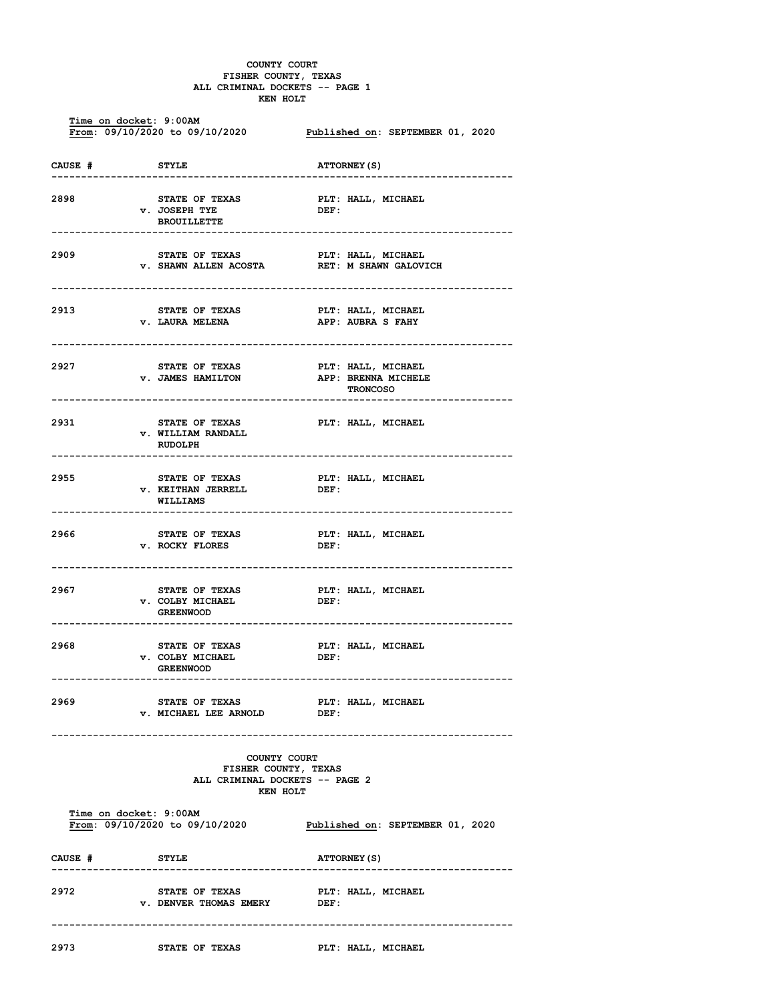## **COUNTY COURT FISHER COUNTY, TEXAS ALL CRIMINAL DOCKETS -- PAGE 1 KEN HOLT**

| Time on docket: 9:00AM<br>From: 09/10/2020 to 09/10/2020 Published on: SEPTEMBER 01, 2020 |                                                                                                  |                                                               |  |  |  |
|-------------------------------------------------------------------------------------------|--------------------------------------------------------------------------------------------------|---------------------------------------------------------------|--|--|--|
| CAUSE #                                                                                   | <b>STYLE</b>                                                                                     | <b>ATTORNEY (S)</b>                                           |  |  |  |
| 2898                                                                                      | STATE OF TEXAS<br>v. JOSEPH TYE<br><b>BROUILLETTE</b>                                            | PLT: HALL, MICHAEL<br>DEF:                                    |  |  |  |
| 2909                                                                                      | STATE OF TEXAS PLT: HALL, MICHAEL<br>v. SHAWN ALLEN ACOSTA RET: M SHAWN GALOVICH                 |                                                               |  |  |  |
| 2913                                                                                      | <b>STATE OF TEXAS</b><br><b>v. LAURA MELENA</b><br>-------------------------                     | PLT: HALL, MICHAEL<br>PLT: HALL, MICHALL<br>APP: AUBRA S FAHY |  |  |  |
| 2927                                                                                      | STATE OF TEXAS PLT: HALL, MICHAEL<br><b>v. JAMES HAMILTON</b>                                    | APP: BRENNA MICHELE<br><b>TRONCOSO</b>                        |  |  |  |
| 2931                                                                                      | STATE OF TEXAS FLT: HALL, MICHAEL<br><b>v. WILLIAM RANDALL</b><br>RUDOLPH                        |                                                               |  |  |  |
| 2955                                                                                      | <b>v. KEITHAN JERRELL</b><br><b>WILLIAMS</b>                                                     |                                                               |  |  |  |
| 2966                                                                                      | STATE OF TEXAS<br><b>v. ROCKY FLORES</b>                                                         | PLT: HALL, MICHAEL<br>DEF:                                    |  |  |  |
| 2967                                                                                      | <b>STATE OF TEXAS</b><br>v. COLBY MICHAEL DEF:<br><b>GREENWOOD</b>                               | PLT: HALL, MICHAEL                                            |  |  |  |
| 2968                                                                                      | <b>STATE OF TEXAS</b><br><b>v. COLBY MICHAEL</b><br><b>GREENWOOD</b><br>------------------------ | PLT: HALL, MICHAEL<br>DEF:<br>-------------------------       |  |  |  |
| 2969                                                                                      | <b>STATE OF TEXAS</b><br><b>v. MICHAEL LEE ARNOLD</b>                                            | <b>PLT: HALL, MICHAEL</b><br>DEF:                             |  |  |  |
| COUNTY COURT<br>FISHER COUNTY, TEXAS<br>ALL CRIMINAL DOCKETS -- PAGE 2<br>KEN HOLT        |                                                                                                  |                                                               |  |  |  |
| Time on docket: 9:00AM                                                                    | From: 09/10/2020 to 09/10/2020                                                                   | Published on: SEPTEMBER 01, 2020                              |  |  |  |
| CAUSE #                                                                                   | <b>STYLE</b>                                                                                     | <b>ATTORNEY (S)</b>                                           |  |  |  |
| 2972                                                                                      | STATE OF TEXAS<br><b>v. DENVER THOMAS EMERY</b>                                                  | PLT: HALL, MICHAEL<br>DEF:                                    |  |  |  |
| 2973                                                                                      | STATE OF TEXAS                                                                                   | PLT: HALL, MICHAEL                                            |  |  |  |